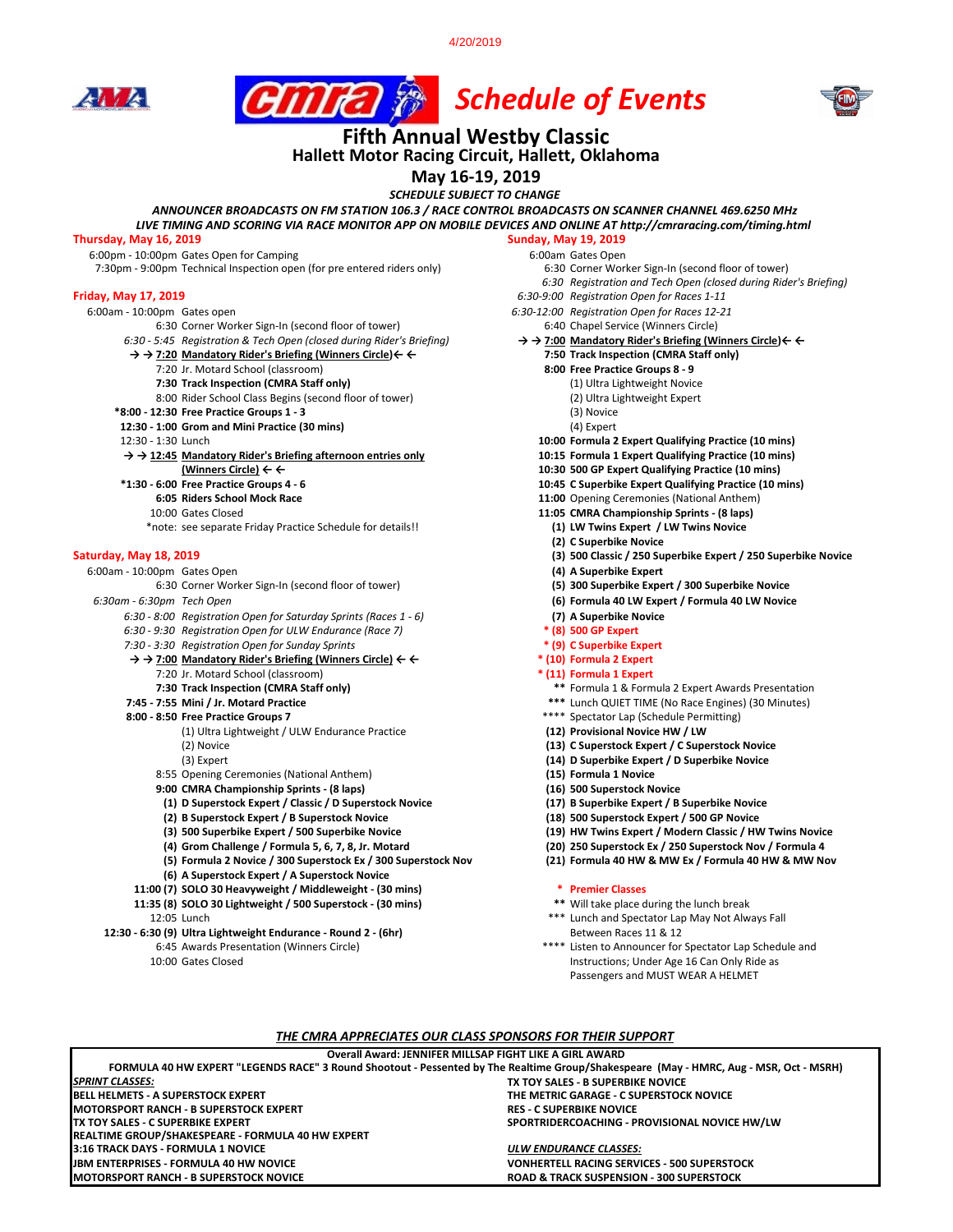4/20/2019







# **Hallett Motor Racing Circuit, Hallett, Oklahoma Fifth Annual Westby Classic**

# **May 16-19, 2019**

*SCHEDULE SUBJECT TO CHANGE*

*ANNOUNCER BROADCASTS ON FM STATION 106.3 / RACE CONTROL BROADCASTS ON SCANNER CHANNEL 469.6250 MHz LIVE TIMING AND SCORING VIA RACE MONITOR APP ON MOBILE DEVICES AND ONLINE AT http://cmraracing.com/timing.html* 

#### **Thursday, May 16, 2019 Sunday, May 19, 2019**

6:00pm - 10:00pm Gates Open for Camping<br>7:30pm - 9:00pm Technical Inspection open (for pre entered riders only) 6:00 Corner Worker Sign-In (second floor of tower) 7:30pm - 9:00pm Technical Inspection open (for pre entered riders only)

- - 6:30 Corner Worker Sign-In (second floor of tower)<br>6:30 5:45 Reaistration & Tech Open (closed during Rider's Briefing)
	- - -
			-
			- 8:00 Rider School Class Begins (second floor of tower) (2) Ultra Li<br>12:30 Free Practice Groups 1 3 (3) Novice
	- **\*8:00 12:30 Free Practice Groups 1 3** (3) Novice
	- **12:30 1:00 Grom and Mini Practice (30 mins) 12:30 1:30 Lunch**

- → → 12:45 **Mandatory Rider's Briefing afternoon entries only** 
	- -
		- \*note: see separate Friday Practice Schedule for details!!

6:30 Corner Worker Sign-In (second floor of tower) **(5) 300 Superbike Expert / 300 Superbike Novice** *6:30 - 8:00 Registration Open for Saturday Sprints (Races 1 - 6)* **(7) A Superbike Novice** 

- 
- *7:30 3:30 Registration Open for Sunday Sprints* **\* (9) C Superbike Expert**
- 
- **→ → 7:00 Mandatory Rider's Briefing (Winners Circle) ← ← \* (10) Formula 2 Expert**  7:20 Jr. Motard School (classroom)<br>**7:30 Track Inspection (CMRA Staff only)** 
	-
- 
- - (1) Ultra Lightweight / ULW Endurance Practice
	-
	- 8:55 Opening Ceremonies (National Anthem) **(15) Formula 1 Novice**
	-
	- **9:00 CMRA Championship Sprints (8 laps) (16) 500 Superstock Novice (1) D Superstock Expert / Classic / D Superstock Novice (17) B Superbike Expert / B Superbike Novice**
	- **(2) B Superstock Expert / B Superstock Novice (18) 500 Superstock Expert / 500 GP Novice**
	-
	-
	- **(5) Formula 2 Novice / 300 Superstock Ex / 300 Superstock Nov (21) Formula 40 HW & MW Ex / Formula 40 HW & MW Nov (6) A Superstock Expert / A Superstock Novice**
	-
- **11:00 (7) SOLO 30 Heavyweight / Middleweight (30 mins) \* Premier Classes 11:35 (8) SOLO 30 Lightweight / 500 Superstock - (30 mins)**
- 12:30 6:30 (9) Ultra Lightweight Endurance Round 2 (6hr) **Between Races 11 & 12** and Between Races 11 & 12
	-
	-
- *6:30 Registration and Tech Open (closed during Rider's Briefing)* **Friday, May 17, 2019** *6:30-9:00 Registration Open for Races 1-11* 6:00am - 10:00pm Gates open *6:30-12:00 Registration Open for Races 12-21*  $\rightarrow$  **→ 7:00 Mandatory Rider's Briefing (Winners Circle) ← ←**<br>7:50 Track Inspection (CMRA Staff only) **→ → 7:20 Mandatory Rider's Briefing (Winners Circle)← ← 7:50 Track Inspection (CMRA Staff only)** 7:20 Jr. Motard School (classroom) **8:00 Free Practice Groups 8 - 9 7:30 Track Inspection (CMRA Staff only)** (1) Ultra Lightweight Novice 10:00 Formula 2 Expert Qualifying Practice (10 mins)<br>10:15 Formula 1 Expert Qualifying Practice (10 mins) **(Winners Circle) ← ← 10:30 500 GP Expert Qualifying Practice (10 mins) \*10:45** CSuperbike Expert Qualifying Practice (10 mins)<br>**6:05** Riders School Mock Bace<br>**11:00** Opening Ceremonies (National Anthem) **6:05 Riders School Mock Race 11:00** Opening Ceremonies (National Anthem) 11:05 CMRA Championship Sprints - (8 laps)<br>(1) LW Twins Expert / LW Twins Novice **(2) C Superbike Novice Saturday, May 18, 2019 (3) 500 Classic / 250 Superbike Expert / 250 Superbike Novice** 6:00am - 10:00pm Gates Open **(4) A Superbike Expert** *6:30am - 6:30pm Tech Open* **(6) Formula 40 LW Expert / Formula 40 LW Novice** *6:30 - 9:30 Registration Open for ULW Endurance (Race 7)* **\* (8) 500 GP Expert 7:30 Track Inspection (CMRA Staff only) \*\*** Formula 1 & Formula 2 Expert Awards Presentation **7:45 - 7:55 Mini / Jr. Motard Practice** \*\*\* Lunch QUIET TIME (No Race Engines) (30 Minutes) 19:55 Mini (30 Minutes) (30 Minutes) 19:59 Minutes) 19:59 Mini 20:00 - 8:50 Free Practice Groups 7 \*\*\*\* Spectator Lap (Schedule Permitting)<br>(12) **Provisional Novice HW / LW** (2) Novice **(13) C Superstock Expert / C Superstock Novice** (3) Expert **(14) D Superbike Expert / D Superbike Novice**
	-
	-
	-
	-
	- **(3) 500 Superbike Expert / 500 Superbike Novice (19) HW Twins Expert / Modern Classic / HW Twins Novice (4) Grom Challenge / Formula 5, 6, 7, 8, Jr. Motard (20) 250 Superstock Ex / 250 Superstock Nov / Formula 4** 
		- -
		-
	- 12:05 Lunch **12:05** Lunch and Spectator Lap May Not Always Fall
	- 6:45 Awards Presentation (Winners Circle) \*\*\*\* Listen to Announcer for Spectator Lap Schedule and 10:00 Gates Closed **Instructions**; Under Age 16 Can Only Ride as Passengers and MUST WEAR A HELMET

#### *THE CMRA APPRECIATES OUR CLASS SPONSORS FOR THEIR SUPPORT*

#### **Overall Award: JENNIFER MILLSAP FIGHT LIKE A GIRL AWARD**

**TX TOY SALES - B SUPERBIKE NOVICE BELL HELMETS - A SUPERSTOCK EXPERT THE METRIC GARAGE - C SUPERSTOCK NOVICE MOTORSPORT RANCH - B SUPERSTOCK EXPERT<br>TX TOY SALES - C SUPERBIKE EXPERT** SPORTRIDERCOACHING - PROVISIONAL NOVICE HW/LW **FORMULA 40 HW EXPERT "LEGENDS RACE" 3 Round Shootout - Pessented by The Realtime Group/Shakespeare (May - HMRC, Aug - MSR, Oct - MSRH)** *SPRINT CLASSES:* **REALTIME GROUP/SHAKESPEARE - FORMULA 40 HW EXPERT**

**3:16 TRACK DAYS - FORMULA 1 NOVICE** *ULW ENDURANCE CLASSES:* **JBM ENTERPRISES - FORMULA 40 HW NOVICE VONHERTELL RACING SERVICES - 500 SUPERSTOCK ROAD & TRACK SUSPENSION - 300 SUPERSTOCK**